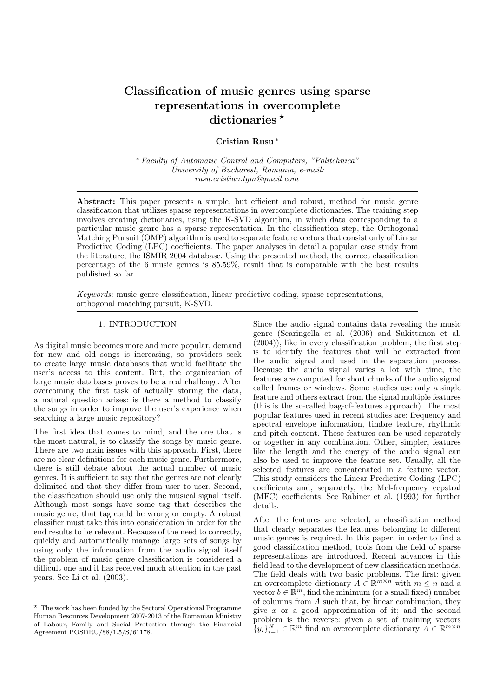# Classification of music genres using sparse representations in overcomplete dictionaries  $*$

# Cristian Rusu <sup>∗</sup>

<sup>∗</sup> Faculty of Automatic Control and Computers, "Politehnica" University of Bucharest, Romania, e-mail: rusu.cristian.tgm@gmail.com

Abstract: This paper presents a simple, but efficient and robust, method for music genre classification that utilizes sparse representations in overcomplete dictionaries. The training step involves creating dictionaries, using the K-SVD algorithm, in which data corresponding to a particular music genre has a sparse representation. In the classification step, the Orthogonal Matching Pursuit (OMP) algorithm is used to separate feature vectors that consist only of Linear Predictive Coding (LPC) coefficients. The paper analyses in detail a popular case study from the literature, the ISMIR 2004 database. Using the presented method, the correct classification percentage of the 6 music genres is 85.59%, result that is comparable with the best results published so far.

Keywords: music genre classification, linear predictive coding, sparse representations, orthogonal matching pursuit, K-SVD.

# 1. INTRODUCTION

As digital music becomes more and more popular, demand for new and old songs is increasing, so providers seek to create large music databases that would facilitate the user's access to this content. But, the organization of large music databases proves to be a real challenge. After overcoming the first task of actually storing the data, a natural question arises: is there a method to classify the songs in order to improve the user's experience when searching a large music repository?

The first idea that comes to mind, and the one that is the most natural, is to classify the songs by music genre. There are two main issues with this approach. First, there are no clear definitions for each music genre. Furthermore, there is still debate about the actual number of music genres. It is sufficient to say that the genres are not clearly delimited and that they differ from user to user. Second, the classification should use only the musical signal itself. Although most songs have some tag that describes the music genre, that tag could be wrong or empty. A robust classifier must take this into consideration in order for the end results to be relevant. Because of the need to correctly, quickly and automatically manage large sets of songs by using only the information from the audio signal itself the problem of music genre classification is considered a difficult one and it has received much attention in the past years. See Li et al. (2003).

Since the audio signal contains data revealing the music genre (Scaringella et al. (2006) and Sukittanon et al. (2004)), like in every classification problem, the first step is to identify the features that will be extracted from the audio signal and used in the separation process. Because the audio signal varies a lot with time, the features are computed for short chunks of the audio signal called frames or windows. Some studies use only a single feature and others extract from the signal multiple features (this is the so-called bag-of-features approach). The most popular features used in recent studies are: frequency and spectral envelope information, timbre texture, rhythmic and pitch content. These features can be used separately or together in any combination. Other, simpler, features like the length and the energy of the audio signal can also be used to improve the feature set. Usually, all the selected features are concatenated in a feature vector. This study considers the Linear Predictive Coding (LPC) coefficients and, separately, the Mel-frequency cepstral (MFC) coefficients. See Rabiner et al. (1993) for further details.

After the features are selected, a classification method that clearly separates the features belonging to different music genres is required. In this paper, in order to find a good classification method, tools from the field of sparse representations are introduced. Recent advances in this field lead to the development of new classification methods. The field deals with two basic problems. The first: given an overcomplete dictionary  $A \in \mathbb{R}^{m \times n}$  with  $m \leq n$  and a vector  $b \in \mathbb{R}^m$ , find the minimum (or a small fixed) number of columns from A such that, by linear combination, they give  $x$  or a good approximation of it; and the second problem is the reverse: given a set of training vectors  ${y_i}_{i=1}^N \in \mathbb{R}^m$  find an overcomplete dictionary  $A \in \mathbb{R}^{m \times n}$ 

 $\star$  The work has been funded by the Sectoral Operational Programme Human Resources Development 2007-2013 of the Romanian Ministry of Labour, Family and Social Protection through the Financial Agreement POSDRU/88/1.5/S/61178.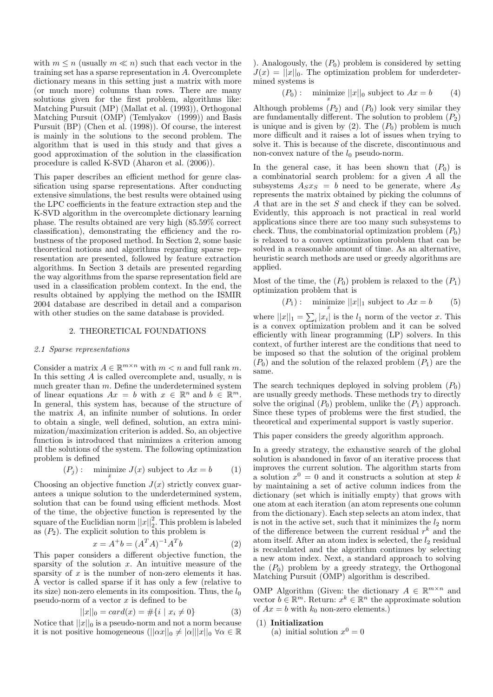with  $m \leq n$  (usually  $m \ll n$ ) such that each vector in the training set has a sparse representation in A. Overcomplete dictionary means in this setting just a matrix with more (or much more) columns than rows. There are many solutions given for the first problem, algorithms like: Matching Pursuit (MP) (Mallat et al. (1993)), Orthogonal Matching Pursuit (OMP) (Temlyakov (1999)) and Basis Pursuit (BP) (Chen et al. (1998)). Of course, the interest is mainly in the solutions to the second problem. The algorithm that is used in this study and that gives a good approximation of the solution in the classification procedure is called K-SVD (Aharon et al. (2006)).

This paper describes an efficient method for genre classification using sparse representations. After conducting extensive simulations, the best results were obtained using the LPC coefficients in the feature extraction step and the K-SVD algorithm in the overcomplete dictionary learning phase. The results obtained are very high (85.59% correct classification), demonstrating the efficiency and the robustness of the proposed method. In Section 2, some basic theoretical notions and algorithms regarding sparse representation are presented, followed by feature extraction algorithms. In Section 3 details are presented regarding the way algorithms from the sparse representation field are used in a classification problem context. In the end, the results obtained by applying the method on the ISMIR 2004 database are described in detail and a comparison with other studies on the same database is provided.

#### 2. THEORETICAL FOUNDATIONS

### 2.1 Sparse representations

Consider a matrix  $A \in \mathbb{R}^{m \times n}$  with  $m < n$  and full rank m. In this setting  $A$  is called overcomplete and, usually,  $n$  is much greater than  $m$ . Define the underdetermined system of linear equations  $Ax = b$  with  $x \in \mathbb{R}^n$  and  $b \in \mathbb{R}^m$ . In general, this system has, because of the structure of the matrix A, an infinite number of solutions. In order to obtain a single, well defined, solution, an extra minimization/maximization criterion is added. So, an objective function is introduced that minimizes a criterion among all the solutions of the system. The following optimization problem is defined

$$
(P_j): \quad \underset{x}{\text{minimize}} \ J(x) \text{ subject to } Ax = b \tag{1}
$$

Choosing an objective function  $J(x)$  strictly convex guarantees a unique solution to the underdetermined system, solution that can be found using efficient methods. Most of the time, the objective function is represented by the square of the Euclidian norm  $||x||_2^2$ . This problem is labeled as  $(P_2)$ . The explicit solution to this problem is

$$
x = A^{+}b = (A^{T}A)^{-1}A^{T}b
$$
 (2)

This paper considers a different objective function, the sparsity of the solution  $x$ . An intuitive measure of the sparsity of  $x$  is the number of non-zero elements it has. A vector is called sparse if it has only a few (relative to its size) non-zero elements in its composition. Thus, the  $l_0$ pseudo-norm of a vector  $x$  is defined to be

$$
||x||_0 = card(x) = #\{i \mid x_i \neq 0\}
$$
 (3)

Notice that  $||x||_0$  is a pseudo-norm and not a norm because it is not positive homogeneous  $(||\alpha x||_0 \neq |\alpha| ||x||_0 \,\forall \alpha \in \mathbb{R}$  ). Analogously, the  $(P_0)$  problem is considered by setting  $J(x) = ||x||_0$ . The optimization problem for underdetermined systems is

 $(P_0):$  minimize  $||x||_0$  subject to  $Ax = b$  (4)

Although problems  $(P_2)$  and  $(P_0)$  look very similar they are fundamentally different. The solution to problem  $(P_2)$ is unique and is given by  $(2)$ . The  $(P_0)$  problem is much more difficult and it raises a lot of issues when trying to solve it. This is because of the discrete, discontinuous and non-convex nature of the  $l_0$  pseudo-norm.

In the general case, it has been shown that  $(P_0)$  is a combinatorial search problem: for a given  $A$  all the subsystems  $A_Sx_S = b$  need to be generate, where  $A_S$ represents the matrix obtained by picking the columns of A that are in the set S and check if they can be solved. Evidently, this approach is not practical in real world applications since there are too many such subsystems to check. Thus, the combinatorial optimization problem  $(P_0)$ is relaxed to a convex optimization problem that can be solved in a reasonable amount of time. As an alternative, heuristic search methods are used or greedy algorithms are applied.

Most of the time, the  $(P_0)$  problem is relaxed to the  $(P_1)$ optimization problem that is

$$
(P_1): \quad \underset{x}{\text{minimize}} \; ||x||_1 \text{ subject to } Ax = b \qquad (5)
$$

where  $||x||_1 = \sum_i |x_i|$  is the  $l_1$  norm of the vector x. This is a convex optimization problem and it can be solved efficiently with linear programming (LP) solvers. In this context, of further interest are the conditions that need to be imposed so that the solution of the original problem  $(P_0)$  and the solution of the relaxed problem  $(P_1)$  are the same.

The search techniques deployed in solving problem  $(P_0)$ are usually greedy methods. These methods try to directly solve the original  $(P_0)$  problem, unlike the  $(P_1)$  approach. Since these types of problems were the first studied, the theoretical and experimental support is vastly superior.

This paper considers the greedy algorithm approach.

In a greedy strategy, the exhaustive search of the global solution is abandoned in favor of an iterative process that improves the current solution. The algorithm starts from a solution  $x^0 = 0$  and it constructs a solution at step k by maintaining a set of active column indices from the dictionary (set which is initially empty) that grows with one atom at each iteration (an atom represents one column from the dictionary). Each step selects an atom index, that is not in the active set, such that it minimizes the  $l_2$  norm of the difference between the current residual  $r^k$  and the atom itself. After an atom index is selected, the  $l_2$  residual is recalculated and the algorithm continues by selecting a new atom index. Next, a standard approach to solving the  $(P_0)$  problem by a greedy strategy, the Orthogonal Matching Pursuit (OMP) algorithm is described.

OMP Algorithm (Given: the dictionary  $A \in \mathbb{R}^{m \times n}$  and vector  $b \in \mathbb{R}^m$ . Return:  $x^k \in \mathbb{R}^n$  the approximate solution of  $Ax = b$  with  $k_0$  non-zero elements.)

#### (1) Initialization

(a) initial solution  $x^0 = 0$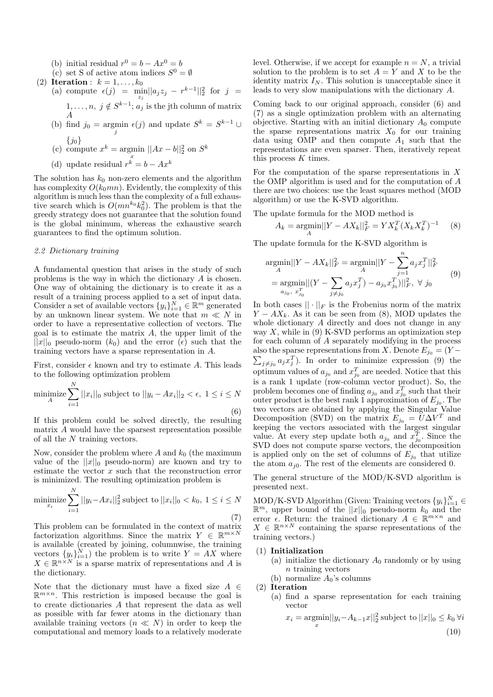- (b) initial residual  $r^0 = b Ax^0 = b$
- (c) set S of active atom indices  $S^0 = \emptyset$
- (2) Iteration :  $k = 1, \ldots, k_0$ (a) compute  $\epsilon(j) = \min_{z_j} ||a_j z_j - r^{k-1}||_2^2$  for  $j =$  $1, \ldots, n, j \notin S^{k-1}; a_j$  is the jth column of matrix A
	- (b) find  $j_0 = \underset{j}{\text{argmin}} \epsilon(j)$  and update  $S^k = S^{k-1} \cup$  $\{j_0\}$
	- (c) compute  $x^k = \text{argmin } ||Ax b||_2^2$  on  $S^k$
	- x (d) update residual  $r^k = b - Ax^k$

The solution has  $k_0$  non-zero elements and the algorithm has complexity  $O(k_0mn)$ . Evidently, the complexity of this algorithm is much less than the complexity of a full exhaustive search which is  $O(mn^{k_0}k_0^2)$ . The problem is that the greedy strategy does not guarantee that the solution found is the global minimum, whereas the exhaustive search guarantees to find the optimum solution.

## 2.2 Dictionary training

N

A fundamental question that arises in the study of such problems is the way in which the dictionary A is chosen. One way of obtaining the dictionary is to create it as a result of a training process applied to a set of input data. Consider a set of available vectors  $\{y_i\}_{i=1}^N \in \mathbb{R}^m$  generated by an unknown linear system. We note that  $m \ll N$  in order to have a representative collection of vectors. The goal is to estimate the matrix  $A$ , the upper limit of the  $||x||_0$  pseudo-norm  $(k_0)$  and the error  $(\epsilon)$  such that the training vectors have a sparse representation in A.

First, consider  $\epsilon$  known and try to estimate A. This leads to the following optimization problem

$$
\underset{A}{\text{minimize}} \sum_{i=1}^{N} ||x_i||_0 \text{ subject to } ||y_i - Ax_i||_2 < \epsilon, \ 1 \le i \le N
$$
\n
$$
\tag{6}
$$

If this problem could be solved directly, the resulting matrix A would have the sparsest representation possible of all the N training vectors.

Now, consider the problem where A and  $k_0$  (the maximum value of the  $||x||_0$  pseudo-norm) are known and try to estimate the vector x such that the reconstruction error is minimized. The resulting optimization problem is

$$
\underset{x_i}{\text{minimize}} \sum_{i=1}^{N} ||y_i - Ax_i||_2^2 \text{ subject to } ||x_i||_0 < k_0, \ 1 \le i \le N
$$
\n(7)

This problem can be formulated in the context of matrix factorization algorithms. Since the matrix  $Y \in \mathbb{R}^{m \times N}$ is available (created by joining, columnwise, the training vectors  $\{y_i\}_{i=1}^N$  the problem is to write  $Y = AX$  where  $X \in \mathbb{R}^{n \times N}$  is a sparse matrix of representations and A is the dictionary.

Note that the dictionary must have a fixed size  $A \in$  $\mathbb{R}^{m \times n}$ . This restriction is imposed because the goal is to create dictionaries A that represent the data as well as possible with far fewer atoms in the dictionary than available training vectors  $(n \ll N)$  in order to keep the computational and memory loads to a relatively moderate level. Otherwise, if we accept for example  $n = N$ , a trivial solution to the problem is to set  $A = Y$  and X to be the identity matrix  $I_N$ . This solution is unacceptable since it leads to very slow manipulations with the dictionary A.

Coming back to our original approach, consider (6) and (7) as a single optimization problem with an alternating objective. Starting with an initial dictionary  $A_0$  compute the sparse representations matrix  $X_0$  for our training data using OMP and then compute  $A_1$  such that the representations are even sparser. Then, iteratively repeat this process  $K$  times.

For the computation of the sparse representations in  $X$ the OMP algorithm is used and for the computation of A there are two choices: use the least squares method (MOD algorithm) or use the K-SVD algorithm.

The update formula for the MOD method is

$$
A_k = \underset{A}{\text{argmin}} ||Y - AX_k||_F^2 = YX_k^T (X_k X_k^T)^{-1} \tag{8}
$$

The update formula for the K-SVD algorithm is

$$
\underset{A}{\operatorname{argmin}} ||Y - AX_k||_F^2 = \underset{A}{\operatorname{argmin}} ||Y - \sum_{j=1}^n a_j x_j^T||_F^2
$$
\n
$$
= \underset{a_{j_0, x_{j_0}}^T}{\operatorname{argmin}} ||(Y - \sum_{j \neq j_0} a_j x_j^T) - a_{j_0} x_{j_0}^T)||_F^2, \ \forall \ j_0
$$
\n(9)

In both cases  $|| \cdot ||_F$  is the Frobenius norm of the matrix  $Y - AX_k$ . As it can be seen from (8), MOD updates the whole dictionary A directly and does not change in any way  $X$ , while in (9) K-SVD performs an optimization step for each column of A separately modifying in the process also the sparse representations from X. Denote  $E_{j_0} = (Y \sum_{j\neq j_0} a_j x_j^T$ ). In order to minimize expression (9) the optimum values of  $a_{j_0}$  and  $x_{j_0}^T$  are needed. Notice that this is a rank 1 update (row-column vector product). So, the problem becomes one of finding  $a_{j_0}$  and  $x_{j_0}^T$  such that their outer product is the best rank 1 approximation of  $E_{j_0}$ . The two vectors are obtained by applying the Singular Value Decomposition (SVD) on the matrix  $E_{j_0} = \overline{U} \Delta V^T$  and keeping the vectors associated with the largest singular value. At every step update both  $a_{j_0}$  and  $x_{j_0}^T$ . Since the SVD does not compute sparse vectors, the decomposition is applied only on the set of columns of  $E_{j_0}$  that utilize the atom  $a_{i0}$ . The rest of the elements are considered 0.

The general structure of the MOD/K-SVD algorithm is presented next.

MOD/K-SVD Algorithm (Given: Training vectors  $\{y_i\}_{i=1}^N$   $\in$  $\mathbb{R}^m$ , upper bound of the  $||x||_0$  pseudo-norm  $k_0$  and the error  $\epsilon$ . Return: the trained dictionary  $A \in \mathbb{R}^{m \times n}$  and  $X \in \mathbb{R}^{n \times N}$  containing the sparse representations of the training vectors.)

#### (1) Initialization

- (a) initialize the dictionary  $A_0$  randomly or by using  $n$  training vectors
- (b) normalize  $A_0$ 's columns
- (2) Iteration
	- (a) find a sparse representation for each training vector

$$
x_i = \underset{x}{\operatorname{argmin}} ||y_i - A_{k-1}x||_2^2 \text{ subject to } ||x||_0 \le k_0 \,\forall i
$$
\n
$$
(10)
$$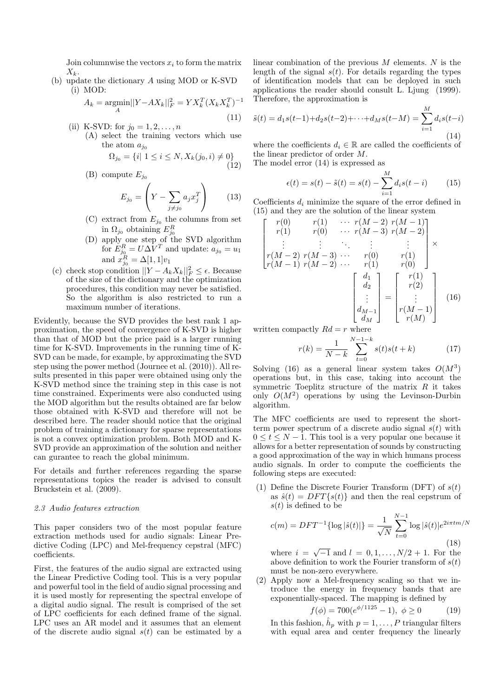Join columnwise the vectors  $x_i$  to form the matrix  $X_k$ .

(b) update the dictionary A using MOD or K-SVD (i) MOD:

$$
A_k = \underset{A}{\text{argmin}} ||Y - AX_k||_F^2 = YX_k^T (X_k X_k^T)^{-1}
$$

- (11) (ii) K-SVD: for  $j_0 = 1, 2, ..., n$ 
	- (A) select the training vectors which use the atom  $a_{j_0}$

$$
\Omega_{j_0} = \{i | 1 \le i \le N, X_k(j_0, i) \ne 0\}
$$
\n<sup>(12)</sup>

(B) compute  $E_{j_0}$ 

$$
E_{j_0} = \left(Y - \sum_{j \neq j_0} a_j x_j^T\right) \qquad (13)
$$

- (C) extract from  $E_{j_0}$  the columns from set în  $\Omega_{j_0}$  obtaining  $E_{j_0}^R$ <br>(D) apply one step of the SVD algorithm
- for  $E_{j_0}^R = U \Delta \overline{V}^T$  and update:  $a_{j_0} = u_1$ and  $x_{j_0}^R = \Delta[1, 1]v_1$
- (c) check stop condition  $||Y A_k X_k||_F^2 \leq \epsilon$ . Because of the size of the dictionary and the optimization procedures, this condition may never be satisfied. So the algorithm is also restricted to run a maximum number of iterations.

Evidently, because the SVD provides the best rank 1 approximation, the speed of convergence of K-SVD is higher than that of MOD but the price paid is a larger running time for K-SVD. Improvements in the running time of K-SVD can be made, for example, by approximating the SVD step using the power method (Journee et al. (2010)). All results presented in this paper were obtained using only the K-SVD method since the training step in this case is not time constrained. Experiments were also conducted using the MOD algorithm but the results obtained are far below those obtained with K-SVD and therefore will not be described here. The reader should notice that the original problem of training a dictionary for sparse representations is not a convex optimization problem. Both MOD and K-SVD provide an approximation of the solution and neither can gurantee to reach the global minimum.

For details and further references regarding the sparse representations topics the reader is advised to consult Bruckstein et al. (2009).

#### 2.3 Audio features extraction

This paper considers two of the most popular feature extraction methods used for audio signals: Linear Predictive Coding (LPC) and Mel-frequency cepstral (MFC) coefficients.

First, the features of the audio signal are extracted using the Linear Predictive Coding tool. This is a very popular and powerful tool in the field of audio signal processing and it is used mostly for representing the spectral envelope of a digital audio signal. The result is comprised of the set of LPC coefficients for each defined frame of the signal. LPC uses an AR model and it assumes that an element of the discrete audio signal  $s(t)$  can be estimated by a

linear combination of the previous  $M$  elements.  $N$  is the length of the signal  $s(t)$ . For details regarding the types of identification models that can be deployed in such applications the reader should consult L. Ljung (1999). Therefore, the approximation is

$$
\tilde{s}(t) = d_1 s(t-1) + d_2 s(t-2) + \dots + d_M s(t-M) = \sum_{i=1}^{M} d_i s(t-i)
$$
\n(14)

where the coefficients  $d_i \in \mathbb{R}$  are called the coefficients of the linear predictor of order M.

The model error (14) is expressed as

$$
\epsilon(t) = s(t) - \tilde{s}(t) = s(t) - \sum_{i=1}^{M} d_i s(t - i)
$$
 (15)

Coefficients  $d_i$  minimize the square of the error defined in (15) and they are the solution of the linear system

$$
\begin{bmatrix}\nr(0) & r(1) & \cdots & r(M-2) & r(M-1) \\
r(1) & r(0) & \cdots & r(M-3) & r(M-2) \\
\vdots & \vdots & \ddots & \vdots & \vdots \\
r(M-2) & r(M-3) & \cdots & r(0) & r(1) \\
r(M-1) & r(M-2) & \cdots & r(1) & r(0)\n\end{bmatrix} \times \begin{bmatrix}\nd_1 \\
d_2 \\
\vdots \\
d_{M-1} \\
d_M\n\end{bmatrix} = \begin{bmatrix}\nr(1) \\
r(2) \\
\vdots \\
r(M-1) \\
r(M)\n\end{bmatrix}
$$
\n(16)

written compactly  $Rd = r$  where

$$
r(k) = \frac{1}{N-k} \sum_{t=0}^{N-1-k} s(t)s(t+k)
$$
 (17)

Solving (16) as a general linear system takes  $O(M^3)$ operations but, in this case, taking into account the symmetric Toeplitz structure of the matrix  $R$  it takes only  $O(M^2)$  operations by using the Levinson-Durbin algorithm.

The MFC coefficients are used to represent the shortterm power spectrum of a discrete audio signal  $s(t)$  with  $0 \leq t \leq N-1$ . This tool is a very popular one because it allows for a better representation of sounds by constructing a good approximation of the way in which humans process audio signals. In order to compute the coefficients the following steps are executed:

(1) Define the Discrete Fourier Transform (DFT) of  $s(t)$ as  $\hat{s}(t) = DFT\{s(t)\}\$ and then the real cepstrum of  $s(t)$  is defined to be

$$
c(m) = DFT^{-1}\{\log|\hat{s}(t)|\} = \frac{1}{\sqrt{N}} \sum_{t=0}^{N-1} \log|\hat{s}(t)| e^{2i\pi tm/N}
$$
\n(18)

where  $i = \sqrt{-1}$  and  $l = 0, 1, ..., N/2 + 1$ . For the above definition to work the Fourier transform of  $s(t)$ must be non-zero everywhere.

(2) Apply now a Mel-frequency scaling so that we introduce the energy in frequency bands that are exponentially-spaced. The mapping is defined by

$$
f(\phi) = 700(e^{\phi/1125} - 1), \ \phi \ge 0 \tag{19}
$$

In this fashion,  $\hat{h}_p$  with  $p = 1, \ldots, P$  triangular filters with equal area and center frequency the linearly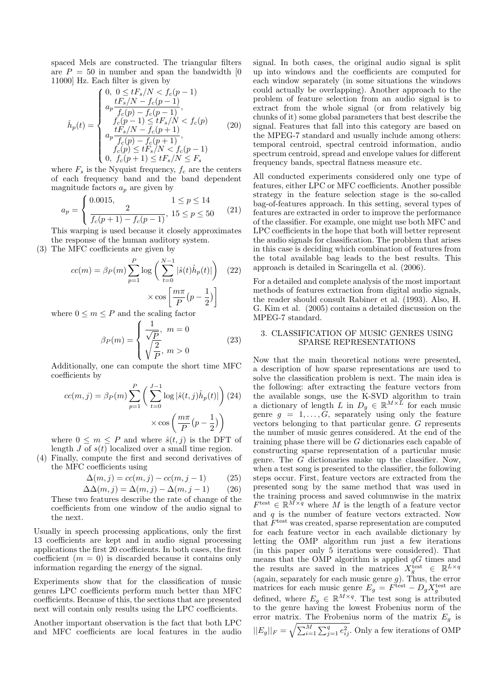spaced Mels are constructed. The triangular filters are  $P = 50$  in number and span the bandwidth [0] 11000] Hz. Each filter is given by

$$
\hat{h}_p(t) = \begin{cases}\n0, & 0 \le tF_s/N < f_c(p-1) \\
a_p \frac{tF_s/N - f_c(p-1)}{f_c(p) - f_c(p-1)}, \\
f_c(p-1) \le tF_s/N < f_c(p) \\
a_p \frac{tF_s/N - f_c(p+1)}{f_c(p) - f_c(p+1)}, \\
f_c(p) \le tF_s/N < f_c(p-1) \\
0, & f_c(p+1) \le tF_s/N \le F_s\n\end{cases} \tag{20}
$$

where  $F_s$  is the Nyquist frequency,  $f_c$  are the centers of each frequency band and the band dependent magnitude factors  $a_p$  are given by

$$
a_p = \begin{cases} 0.0015, & 1 \le p \le 14 \\ \frac{2}{f_c(p+1) - f_c(p-1)}, & 15 \le p \le 50 \end{cases}
$$
 (21)

This warping is used because it closely approximates the response of the human auditory system.

(3) The MFC coefficients are given by

$$
cc(m) = \beta_P(m) \sum_{p=1}^{P} \log \left( \sum_{t=0}^{N-1} |\hat{s}(t)\hat{h}_p(t)| \right) \quad (22)
$$

$$
\times \cos \left[ \frac{m\pi}{P} \left( p - \frac{1}{2} \right) \right]
$$

where  $0 \leq m \leq P$  and the scaling factor

$$
\beta_P(m) = \begin{cases} \frac{1}{\sqrt{P}}, & m = 0\\ \sqrt{\frac{2}{P}}, & m > 0 \end{cases}
$$
 (23)

Additionally, one can compute the short time MFC coefficients by

$$
cc(m,j) = \beta_P(m) \sum_{p=1}^P \left( \sum_{t=0}^{J-1} \log |\hat{s}(t,j)\hat{h}_p(t)| \right) (24)
$$

$$
\times \cos \left( \frac{m\pi}{P} (p - \frac{1}{2}) \right)
$$

where  $0 \leq m \leq P$  and where  $\hat{s}(t, j)$  is the DFT of length  $J \overline{\mathrm{of} s(t)}$  localized over a small time region.

(4) Finally, compute the first and second derivatives of the MFC coefficients using

$$
\Delta(m,j) = cc(m,j) - cc(m,j-1) \tag{25}
$$

$$
\Delta\Delta(m,j) = \Delta(m,j) - \Delta(m,j-1) \tag{26}
$$

These two features describe the rate of change of the coefficients from one window of the audio signal to the next.

Usually in speech processing applications, only the first 13 coefficients are kept and in audio signal processing applications the first 20 coefficients. In both cases, the first coefficient  $(m = 0)$  is discarded because it contains only information regarding the energy of the signal.

Experiments show that for the classification of music genres LPC coefficients perform much better than MFC coefficients. Because of this, the sections that are presented next will contain only results using the LPC coefficients.

Another important observation is the fact that both LPC and MFC coefficients are local features in the audio signal. In both cases, the original audio signal is split up into windows and the coefficients are computed for each window separately (in some situations the windows could actually be overlapping). Another approach to the problem of feature selection from an audio signal is to extract from the whole signal (or from relatively big chunks of it) some global parameters that best describe the signal. Features that fall into this category are based on the MPEG-7 standard and usually include among others: temporal centroid, spectral centroid information, audio spectrum centroid, spread and envelope values for different frequency bands, spectral flatness measure etc.

All conducted experiments considered only one type of features, either LPC or MFC coefficients. Another possible strategy in the feature selection stage is the so-called bag-of-features approach. In this setting, several types of features are extracted in order to improve the performance of the classifier. For example, one might use both MFC and LPC coefficients in the hope that both will better represent the audio signals for classification. The problem that arises in this case is deciding which combination of features from the total available bag leads to the best results. This approach is detailed in Scaringella et al. (2006).

For a detailed and complete analysis of the most important methods of features extraction from digital audio signals, the reader should consult Rabiner et al. (1993). Also, H. G. Kim et al. (2005) contains a detailed discussion on the MPEG-7 standard.

## 3. CLASSIFICATION OF MUSIC GENRES USING SPARSE REPRESENTATIONS

Now that the main theoretical notions were presented, a description of how sparse representations are used to solve the classification problem is next. The main idea is the following: after extracting the feature vectors from the available songs, use the K-SVD algorithm to train a dictionary of length L in  $D_g \in \mathbb{R}^{M \times \mathbb{Z}}$  for each music genre  $g = 1, \ldots, \tilde{G}$ , separately using only the feature vectors belonging to that particular genre. G represents the number of music genres considered. At the end of the training phase there will be G dictionaries each capable of constructing sparse representation of a particular music genre. The G dictionaries make up the classifier. Now, when a test song is presented to the classifier, the following steps occur. First, feature vectors are extracted from the presented song by the same method that was used in the training process and saved columnwise in the matrix  $F^{\text{test}} \in \mathbb{R}^{\widetilde{M} \times q}$  where M is the length of a feature vector and  $q$  is the number of feature vectors extracted. Now that  $F<sup>test</sup>$  was created, sparse representation are computed for each feature vector in each available dictionary by letting the OMP algorithm run just a few iterations (in this paper only 5 iterations were considered). That means that the OMP algorithm is applied  $qG$  times and the results are saved in the matrices  $X_g^{\text{test}} \in \mathbb{R}^{L \times q}$ (again, separately for each music genre  $g$ ). Thus, the error matrices for each music genre  $E_g = F^{\text{test}} - D_g X_g^{\text{test}}$  are defined, where  $E_g \in \mathbb{R}^{M \times q}$ . The test song is attributed to the genre having the lowest Frobenius norm of the error matrix. The Frobenius norm of the matrix  $E<sub>g</sub>$  is  $||E_g||_F = \sqrt{\sum_{i=1}^M \sum_{j=1}^q e_{ij}^2}$ . Only a few iterations of OMP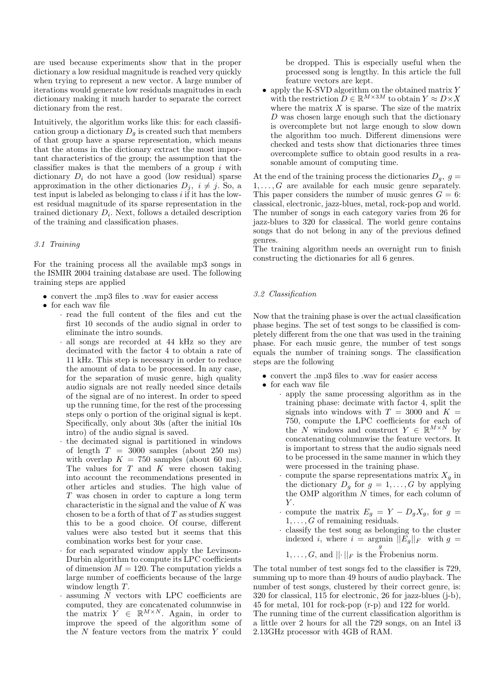are used because experiments show that in the proper dictionary a low residual magnitude is reached very quickly when trying to represent a new vector. A large number of iterations would generate low residuals magnitudes in each dictionary making it much harder to separate the correct dictionary from the rest.

Intuitively, the algorithm works like this: for each classification group a dictionary  $D_q$  is created such that members of that group have a sparse representation, which means that the atoms in the dictionary extract the most important characteristics of the group; the assumption that the classifier makes is that the members of a group  $i$  with dictionary  $D_i$  do not have a good (low residual) sparse approximation in the other dictionaries  $D_j$ ,  $i \neq j$ . So, a test input is labeled as belonging to class  $i$  if it has the lowest residual magnitude of its sparse representation in the trained dictionary  $D_i$ . Next, follows a detailed description of the training and classification phases.

### 3.1 Training

For the training process all the available mp3 songs in the ISMIR 2004 training database are used. The following training steps are applied

- convert the .mp3 files to .wav for easier access
- for each wav file
	- · read the full content of the files and cut the first 10 seconds of the audio signal in order to eliminate the intro sounds.
	- · all songs are recorded at 44 kHz so they are decimated with the factor 4 to obtain a rate of 11 kHz. This step is necessary in order to reduce the amount of data to be processed. In any case, for the separation of music genre, high quality audio signals are not really needed since details of the signal are of no interest. In order to speed up the running time, for the rest of the processing steps only o portion of the original signal is kept. Specifically, only about 30s (after the initial 10s intro) of the audio signal is saved.
	- · the decimated signal is partitioned in windows of length  $T = 3000$  samples (about 250 ms) with overlap  $K = 750$  samples (about 60 ms). The values for  $T$  and  $K$  were chosen taking into account the recommendations presented in other articles and studies. The high value of T was chosen in order to capture a long term characteristic in the signal and the value of  $K$  was chosen to be a forth of that of  $T$  as studies suggest this to be a good choice. Of course, different values were also tested but it seems that this combination works best for your case.
	- for each separated window apply the Levinson-Durbin algorithm to compute its LPC coefficients of dimension  $M = 120$ . The computation yields a large number of coefficients because of the large window length  $T$ .
	- $\cdot$  assuming  $N$  vectors with LPC coefficients are computed, they are concatenated columnwise in the matrix  $Y \in \mathbb{R}^{M \times N}$ . Again, in order to improve the speed of the algorithm some of the N feature vectors from the matrix Y could

be dropped. This is especially useful when the processed song is lengthy. In this article the full feature vectors are kept.

• apply the K-SVD algorithm on the obtained matrix  $Y$ with the restriction  $D \in \mathbb{R}^{M \times 3M}$  to obtain  $Y \approx D \times X$ where the matrix  $X$  is sparse. The size of the matrix D was chosen large enough such that the dictionary is overcomplete but not large enough to slow down the algorithm too much. Different dimensions were checked and tests show that dictionaries three times overcomplete suffice to obtain good results in a reasonable amount of computing time.

At the end of the training process the dictionaries  $D_q$ ,  $g =$  $1, \ldots, G$  are available for each music genre separately. This paper considers the number of music genres  $G = 6$ : classical, electronic, jazz-blues, metal, rock-pop and world. The number of songs in each category varies from 26 for jazz-blues to 320 for classical. The world genre contains songs that do not belong in any of the previous defined genres.

The training algorithm needs an overnight run to finish constructing the dictionaries for all 6 genres.

## 3.2 Classification

Now that the training phase is over the actual classification phase begins. The set of test songs to be classified is completely different from the one that was used in the training phase. For each music genre, the number of test songs equals the number of training songs. The classification steps are the following

- convert the .mp3 files to .wav for easier access
- for each wav file
	- · apply the same processing algorithm as in the training phase: decimate with factor 4, split the signals into windows with  $T = 3000$  and  $K =$ 750, compute the LPC coefficients for each of the N windows and construct  $Y \in \mathbb{R}^{M \times N}$  by concatenating columnwise the feature vectors. It is important to stress that the audio signals need to be processed in the same manner in which they were processed in the training phase.
	- compute the sparse representations matrix  $X<sub>a</sub>$  in the dictionary  $D_q$  for  $q = 1, \ldots, G$  by applying the OMP algorithm N times, for each column of  $Y$ .
	- compute the matrix  $E_g = Y D_g X_g$ , for  $g =$  $1, \ldots, G$  of remaining residuals.
	- · classify the test song as belonging to the cluster indexed i, where  $i = \underset{g}{\text{argmin}} \, ||E_g||_F$  with  $g =$

1,...,G, and 
$$
||\cdot||_F
$$
 is the Frobenius norm.

The total number of test songs fed to the classifier is 729, summing up to more than 49 hours of audio playback. The number of test songs, clustered by their correct genre, is: 320 for classical, 115 for electronic, 26 for jazz-blues (j-b), 45 for metal, 101 for rock-pop (r-p) and 122 for world.

The running time of the current classification algorithm is a little over 2 hours for all the 729 songs, on an Intel i3 2.13GHz processor with 4GB of RAM.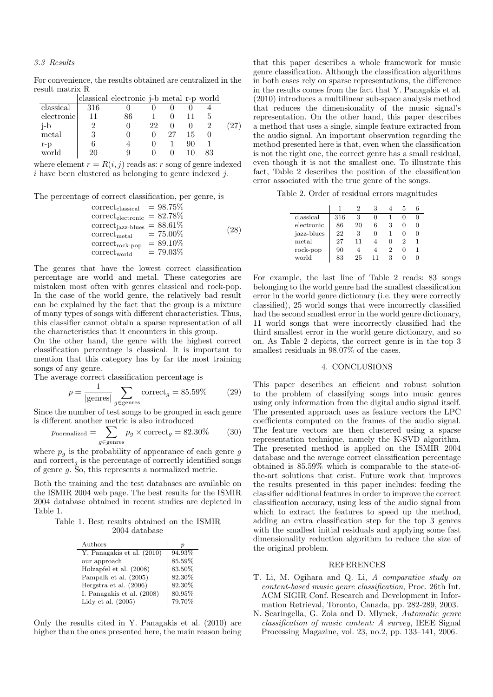## 3.3 Results

For convenience, the results obtained are centralized in the result matrix R

|            |     | classical electronic j-b metal r-p world |    |    |    |    |  |
|------------|-----|------------------------------------------|----|----|----|----|--|
| classical  | 316 |                                          |    |    |    |    |  |
| electronic |     | 86                                       |    |    |    |    |  |
| i-b        |     |                                          | 22 |    |    |    |  |
| metal      | 3   |                                          |    | 27 | 15 |    |  |
| r-p        |     |                                          |    |    | 90 |    |  |
| world      | 20  |                                          |    |    |    | 83 |  |

where element  $r = R(i, j)$  reads as: r song of genre indexed  $i$  have been clustered as belonging to genre indexed  $j$ .

The percentage of correct classification, per genre, is

| $correct_{classical}$                | $= 98.75\%$ |      |
|--------------------------------------|-------------|------|
| $\text{correct}_{\text{electronic}}$ | $= 82.78\%$ |      |
| $correct_{jazz-blues}$               | $= 88.61\%$ |      |
| $correct_{metal}$                    | $= 75.00\%$ | (28) |
| $correct_{rock-pop}$                 | $= 89.10\%$ |      |
| $\text{correct}_\text{world}$        | $= 79.03\%$ |      |

The genres that have the lowest correct classification percentage are world and metal. These categories are mistaken most often with genres classical and rock-pop. In the case of the world genre, the relatively bad result can be explained by the fact that the group is a mixture of many types of songs with different characteristics. Thus, this classifier cannot obtain a sparse representation of all the characteristics that it encounters in this group.

On the other hand, the genre with the highest correct classification percentage is classical. It is important to mention that this category has by far the most training songs of any genre.

The average correct classification percentage is

$$
p = \frac{1}{|\text{genes}|} \sum_{g \in \text{genes}} \text{correct}_g = 85.59\% \tag{29}
$$

Since the number of test songs to be grouped in each genre is different another metric is also introduced

$$
p_{\text{normalized}} = \sum_{g \in \text{genes}} p_g \times \text{correct}_g = 82.30\% \tag{30}
$$

where  $p_q$  is the probability of appearance of each genre g and correct<sub>g</sub> is the percentage of correctly identified songs of genre g. So, this represents a normalized metric.

Both the training and the test databases are available on the ISMIR 2004 web page. The best results for the ISMIR 2004 database obtained in recent studies are depicted in Table 1.

#### Table 1. Best results obtained on the ISMIR 2004 database

| Authors                    | р      |
|----------------------------|--------|
| Y. Panagakis et al. (2010) | 94.93% |
| our approach               | 85.59% |
| Holzapfel et al. (2008)    | 83.50% |
| Pampalk et al. (2005)      | 82.30% |
| Bergstra et al. (2006)     | 82.30% |
| I. Panagakis et al. (2008) | 80.95% |
| Lidy et al. $(2005)$       | 79.70% |

Only the results cited in Y. Panagakis et al. (2010) are higher than the ones presented here, the main reason being that this paper describes a whole framework for music genre classification. Although the classification algorithms in both cases rely on sparse representations, the difference in the results comes from the fact that Y. Panagakis et al. (2010) introduces a multilinear sub-space analysis method that reduces the dimensionality of the music signal's representation. On the other hand, this paper describes a method that uses a single, simple feature extracted from the audio signal. An important observation regarding the method presented here is that, even when the classification is not the right one, the correct genre has a small residual, even though it is not the smallest one. To illustrate this fact, Table 2 describes the position of the classification error associated with the true genre of the songs.

Table 2. Order of residual errors magnitudes

| classical  | 316 | 3  | $\mathbf{0}$ |   |  |
|------------|-----|----|--------------|---|--|
| electronic | 86  | 20 | 6            | 3 |  |
| jazz-blues | 22  | 3  | $\mathbf{0}$ |   |  |
| metal      | 27  | 11 |              |   |  |
| $rock-pop$ | 90  |    |              |   |  |
| world      | 83  | 25 | 11           | З |  |

For example, the last line of Table 2 reads: 83 songs belonging to the world genre had the smallest classification error in the world genre dictionary (i.e. they were correctly classified), 25 world songs that were incorrectly classified had the second smallest error in the world genre dictionary, 11 world songs that were incorrectly classified had the third smallest error in the world genre dictionary, and so on. As Table 2 depicts, the correct genre is in the top 3 smallest residuals in 98.07% of the cases.

## 4. CONCLUSIONS

This paper describes an efficient and robust solution to the problem of classifying songs into music genres using only information from the digital audio signal itself. The presented approach uses as feature vectors the LPC coefficients computed on the frames of the audio signal. The feature vectors are then clustered using a sparse representation technique, namely the K-SVD algorithm. The presented method is applied on the ISMIR 2004 database and the average correct classification percentage obtained is 85.59% which is comparable to the state-ofthe-art solutions that exist. Future work that improves the results presented in this paper includes: feeding the classifier additional features in order to improve the correct classification accuracy, using less of the audio signal from which to extract the features to speed up the method, adding an extra classification step for the top 3 genres with the smallest initial residuals and applying some fast dimensionality reduction algorithm to reduce the size of the original problem.

#### REFERENCES

- T. Li, M. Ogihara and Q. Li, A comparative study on content-based music genre classification, Proc. 26th Int. ACM SIGIR Conf. Research and Development in Information Retrieval, Toronto, Canada, pp. 282-289, 2003.
- N. Scaringella, G. Zoia and D. Mlynek, Automatic genre classification of music content: A survey, IEEE Signal Processing Magazine, vol. 23, no.2, pp. 133–141, 2006.